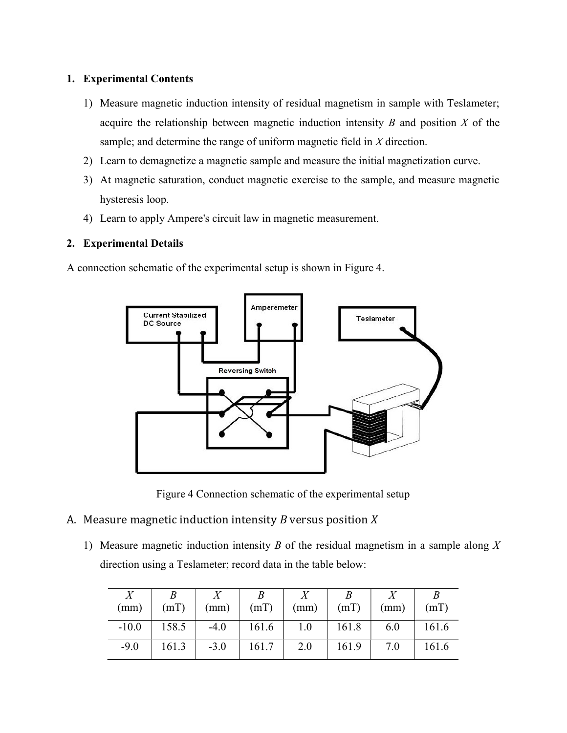## 1. Experimental Contents

- 1) Measure magnetic induction intensity of residual magnetism in sample with Teslameter; acquire the relationship between magnetic induction intensity  $B$  and position  $X$  of the sample; and determine the range of uniform magnetic field in  $X$  direction.
- 2) Learn to demagnetize a magnetic sample and measure the initial magnetization curve.
- 3) At magnetic saturation, conduct magnetic exercise to the sample, and measure magnetic hysteresis loop.
- 4) Learn to apply Ampere's circuit law in magnetic measurement.

## 2. Experimental Details

A connection schematic of the experimental setup is shown in Figure 4.



Figure 4 Connection schematic of the experimental setup

- A. Measure magnetic induction intensity  $B$  versus position  $X$ 
	- 1) Measure magnetic induction intensity  $B$  of the residual magnetism in a sample along  $X$ direction using a Teslameter; record data in the table below:

| (mm)    | (mT)  | (mm)   | (mT)        | (mm) | (mT)  | (mm) | (mT)  |
|---------|-------|--------|-------------|------|-------|------|-------|
| $-10.0$ | 158.5 | $-4.0$ | 161.6   1.0 |      | 161.8 | 6.0  | 161.6 |
| $-9.0$  | 161.3 | $-3.0$ | 161.7       | 2.0  | 161.9 | 7.0  | 161.6 |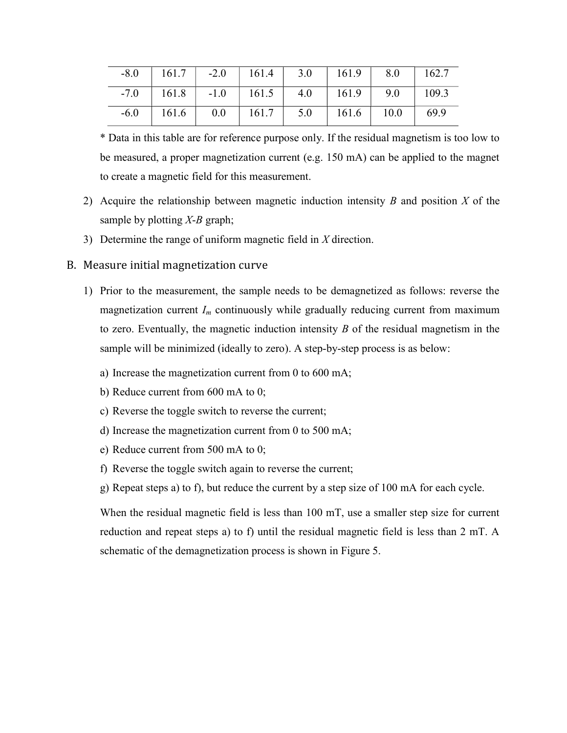| $-8.0$ | 161.7   -2.0   161.4   3.0   161.9   8.0   162.7 |  |                                                      |      |
|--------|--------------------------------------------------|--|------------------------------------------------------|------|
| $-7.0$ | 161.8                                            |  | $-1.0$   $161.5$   $4.0$   $161.9$   $9.0$   $109.3$ |      |
| $-6.0$ | 161.6                                            |  | $0.0$   161.7   5.0   161.6   10.0                   | 69.9 |

\* Data in this table are for reference purpose only. If the residual magnetism is too low to be measured, a proper magnetization current (e.g. 150 mA) can be applied to the magnet to create a magnetic field for this measurement.

- 2) Acquire the relationship between magnetic induction intensity  $B$  and position  $X$  of the sample by plotting  $X$ -B graph;
- 3) Determine the range of uniform magnetic field in  $X$  direction.

## B. Measure initial magnetization curve

- 1) Prior to the measurement, the sample needs to be demagnetized as follows: reverse the magnetization current  $I_m$  continuously while gradually reducing current from maximum to zero. Eventually, the magnetic induction intensity  $B$  of the residual magnetism in the sample will be minimized (ideally to zero). A step-by-step process is as below:
	- a) Increase the magnetization current from 0 to 600 mA;
	- b) Reduce current from 600 mA to 0;
	- c) Reverse the toggle switch to reverse the current;
	- d) Increase the magnetization current from 0 to 500 mA;
	- e) Reduce current from 500 mA to 0;
	- f) Reverse the toggle switch again to reverse the current;
	- g) Repeat steps a) to f), but reduce the current by a step size of 100 mA for each cycle.

When the residual magnetic field is less than 100 mT, use a smaller step size for current reduction and repeat steps a) to f) until the residual magnetic field is less than 2 mT. A schematic of the demagnetization process is shown in Figure 5.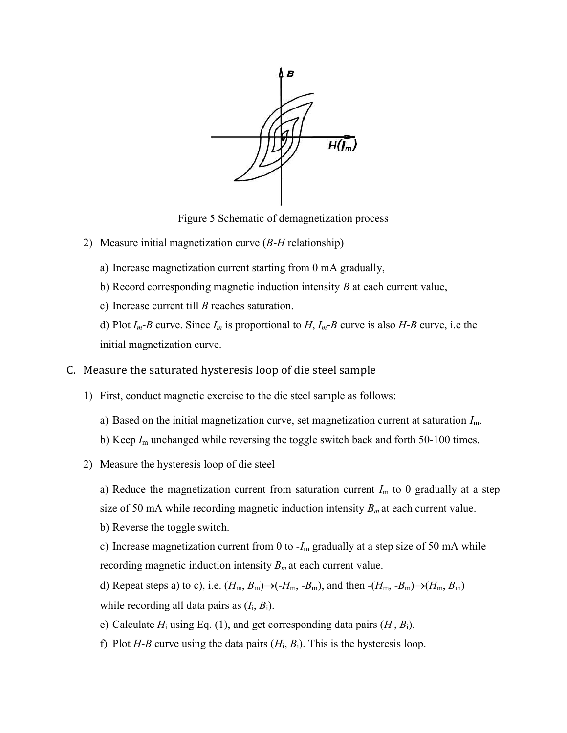

Figure 5 Schematic of demagnetization process

- 2) Measure initial magnetization curve  $(B-H)$  relationship)
	- a) Increase magnetization current starting from 0 mA gradually,
	- b) Record corresponding magnetic induction intensity  $B$  at each current value,
	- c) Increase current till  $B$  reaches saturation.

d) Plot  $I_m$ -B curve. Since  $I_m$  is proportional to H,  $I_m$ -B curve is also H-B curve, i.e the initial magnetization curve.

- C. Measure the saturated hysteresis loop of die steel sample
	- 1) First, conduct magnetic exercise to the die steel sample as follows:
		- a) Based on the initial magnetization curve, set magnetization current at saturation  $I<sub>m</sub>$ .
		- b) Keep  $I_m$  unchanged while reversing the toggle switch back and forth 50-100 times.
	- 2) Measure the hysteresis loop of die steel
		- a) Reduce the magnetization current from saturation current  $I_m$  to 0 gradually at a step size of 50 mA while recording magnetic induction intensity  $B<sub>m</sub>$  at each current value.
		- b) Reverse the toggle switch.

c) Increase magnetization current from 0 to  $-I<sub>m</sub>$  gradually at a step size of 50 mA while recording magnetic induction intensity  $B<sub>m</sub>$  at each current value.

d) Repeat steps a) to c), i.e.  $(H_m, B_m) \rightarrow (-H_m, -B_m)$ , and then  $-(H_m, -B_m) \rightarrow (H_m, B_m)$ while recording all data pairs as  $(I_i, B_i)$ .

- e) Calculate  $H_i$  using Eq. (1), and get corresponding data pairs  $(H_i, B_i)$ .
- f) Plot H-B curve using the data pairs  $(H_i, B_i)$ . This is the hysteresis loop.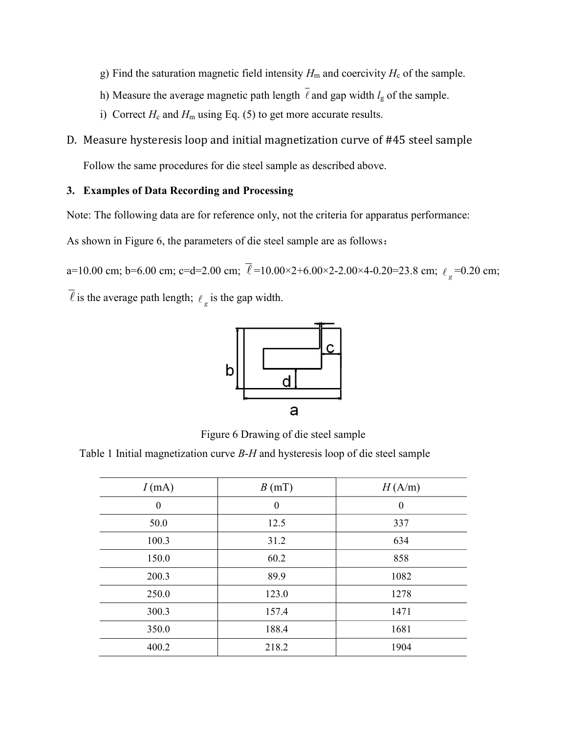- g) Find the saturation magnetic field intensity  $H<sub>m</sub>$  and coercivity  $H<sub>c</sub>$  of the sample.
- h) Measure the average magnetic path length  $\bar{\ell}$  and gap width  $l_g$  of the sample.
- i) Correct  $H_c$  and  $H_m$  using Eq. (5) to get more accurate results.
- D. Measure hysteresis loop and initial magnetization curve of #45 steel sample

Follow the same procedures for die steel sample as described above.

## 3. Examples of Data Recording and Processing

Note: The following data are for reference only, not the criteria for apparatus performance:

As shown in Figure 6, the parameters of die steel sample are as follows:

a=10.00 cm; b=6.00 cm; c=d=2.00 cm;  $\ell = 10.00 \times 2 + 6.00 \times 2 - 2.00 \times 4 - 0.20 = 23.8$  cm;  $\ell_g = 0.20$  cm;

 $\overline{\ell}$  is the average path length;  $\ell_g$  is the gap width.



Figure 6 Drawing of die steel sample

Table 1 Initial magnetization curve  $B-H$  and hysteresis loop of die steel sample

| $I$ (mA)         | B(mT)            | H(A/m)           |
|------------------|------------------|------------------|
| $\boldsymbol{0}$ | $\boldsymbol{0}$ | $\boldsymbol{0}$ |
| 50.0             | 12.5             | 337              |
| 100.3            | 31.2             | 634              |
| 150.0            | 60.2             | 858              |
| 200.3            | 89.9             | 1082             |
| 250.0            | 123.0            | 1278             |
| 300.3            | 157.4            | 1471             |
| 350.0            | 188.4            | 1681             |
| 400.2            | 218.2            | 1904             |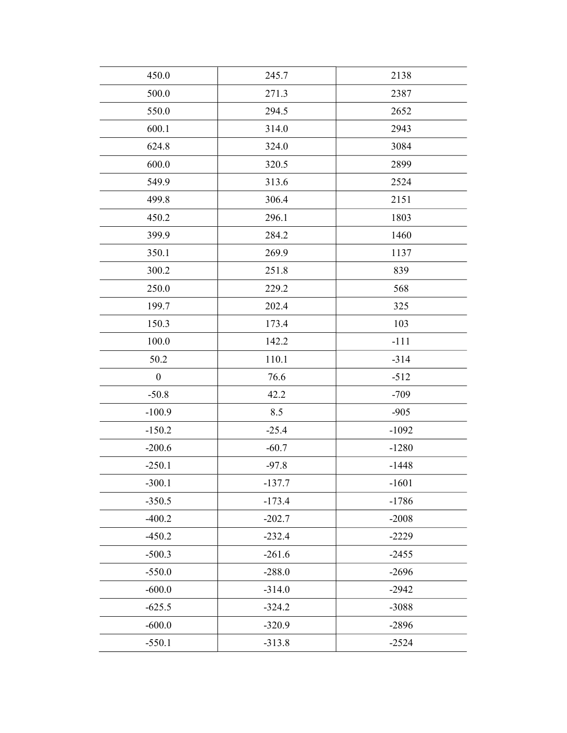| 450.0            | 245.7    | 2138    |
|------------------|----------|---------|
| 500.0            | 271.3    | 2387    |
| 550.0            | 294.5    | 2652    |
| 600.1            | 314.0    | 2943    |
| 624.8            | 324.0    | 3084    |
| 600.0            | 320.5    | 2899    |
| 549.9            | 313.6    | 2524    |
| 499.8            | 306.4    | 2151    |
| 450.2            | 296.1    | 1803    |
| 399.9            | 284.2    | 1460    |
| 350.1            | 269.9    | 1137    |
| 300.2            | 251.8    | 839     |
| 250.0            | 229.2    | 568     |
| 199.7            | 202.4    | 325     |
| 150.3            | 173.4    | 103     |
| 100.0            | 142.2    | $-111$  |
| 50.2             | 110.1    | $-314$  |
| $\boldsymbol{0}$ | 76.6     | $-512$  |
| $-50.8$          | 42.2     | $-709$  |
| $-100.9$         | 8.5      | $-905$  |
| $-150.2$         | $-25.4$  | $-1092$ |
| $-200.6$         | $-60.7$  | $-1280$ |
| $-250.1$         | $-97.8$  | $-1448$ |
| $-300.1$         | $-137.7$ | $-1601$ |
| $-350.5$         | $-173.4$ | $-1786$ |
| $-400.2$         | $-202.7$ | $-2008$ |
| $-450.2$         | $-232.4$ | $-2229$ |
| $-500.3$         | $-261.6$ | $-2455$ |
| $-550.0$         | $-288.0$ | $-2696$ |
| $-600.0$         | $-314.0$ | $-2942$ |
| $-625.5$         | $-324.2$ | $-3088$ |
| $-600.0$         | $-320.9$ | $-2896$ |
| $-550.1$         | $-313.8$ | $-2524$ |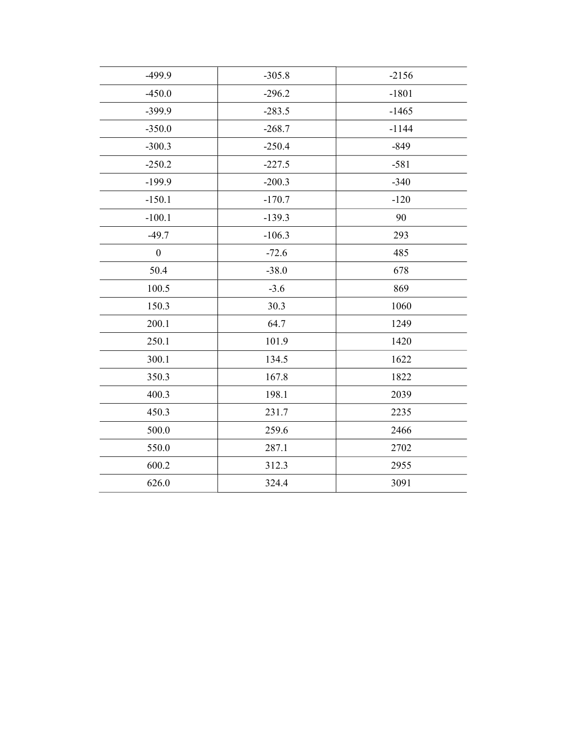| $-305.8$ | $-2156$ |
|----------|---------|
| $-296.2$ | $-1801$ |
| $-283.5$ | $-1465$ |
| $-268.7$ | $-1144$ |
| $-250.4$ | $-849$  |
| $-227.5$ | $-581$  |
| $-200.3$ | $-340$  |
| $-170.7$ | $-120$  |
| $-139.3$ | 90      |
| $-106.3$ | 293     |
| $-72.6$  | 485     |
| $-38.0$  | 678     |
| $-3.6$   | 869     |
| 30.3     | 1060    |
| 64.7     | 1249    |
| 101.9    | 1420    |
| 134.5    | 1622    |
| 167.8    | 1822    |
| 198.1    | 2039    |
| 231.7    | 2235    |
| 259.6    | 2466    |
| 287.1    | 2702    |
| 312.3    | 2955    |
| 324.4    | 3091    |
|          |         |